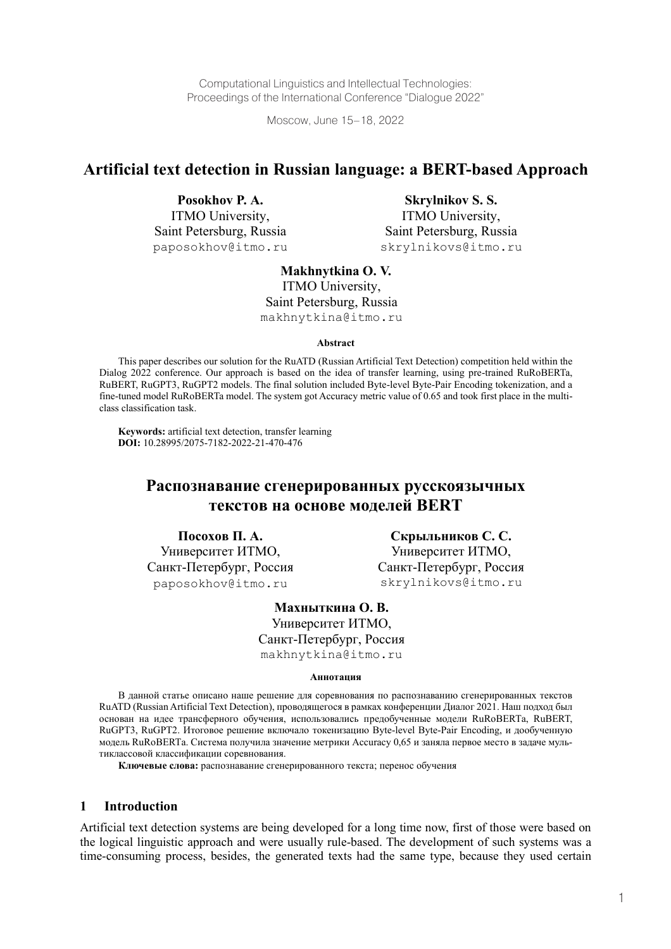Computational Linguistics and Intellectual Technologies: Proceedings of the International Conference "Dialogue 2022"

Moscow, June 15–18, 2022

## **Artificial text detection in Russian language: a BERT-based Approach**

**Posokhov P. A.** ITMO University, Saint Petersburg, Russia paposokhov@itmo.ru

**Skrylnikov S. S.** ITMO University, Saint Petersburg, Russia skrylnikovs@itmo.ru

**Makhnytkina O. V.** ITMO University, Saint Petersburg, Russia makhnytkina@itmo.ru

#### **Abstract**

This paper describes our solution for the RuATD (Russian Artificial Text Detection) competition held within the Dialog 2022 conference. Our approach is based on the idea of transfer learning, using pre-trained RuRoBERTa, RuBERT, RuGPT3, RuGPT2 models. The final solution included Byte-level Byte-Pair Encoding tokenization, and a fine-tuned model RuRoBERTa model. The system got Accuracy metric value of 0.65 and took first place in the multiclass classification task.

**Keywords:** artificial text detection, transfer learning **DOI:** 10.28995/2075-7182-2022-21-470-476

# **Распознавание сгенерированных русскоязычных текстов на основе моделей BERT**

**Посохов П. А.** Университет ИТМО, Санкт-Петербург, Россия paposokhov@itmo.ru

**Скрыльников С. С.** Университет ИТМО, Санкт-Петербург, Россия skrylnikovs@itmo.ru

**Махныткина О. В.** Университет ИТМО, Санкт-Петербург, Россия makhnytkina@itmo.ru

#### **Аннотация**

В данной статье описано наше решение для соревнования по распознаванию сгенерированных текстов RuATD (Russian Artificial Text Detection), проводящегося в рамках конференции Диалог 2021. Наш подход был основан на идее трансферного обучения, использовались предобученные модели RuRoBERTa, RuBERT, RuGPT3, RuGPT2. Итоговое решение включало токенизацию Byte-level Byte-Pair Encoding, и дообученную модель RuRoBERTa. Система получила значение метрики Accuracy 0,65 и заняла первое место в задаче мультиклассовой классификации соревнования.

**Ключевые слова:** распознавание сгенерированного текста; перенос обучения

#### **1 Introduction**

Artificial text detection systems are being developed for a long time now, first of those were based on the logical linguistic approach and were usually rule-based. The development of such systems was a time-consuming process, besides, the generated texts had the same type, because they used certain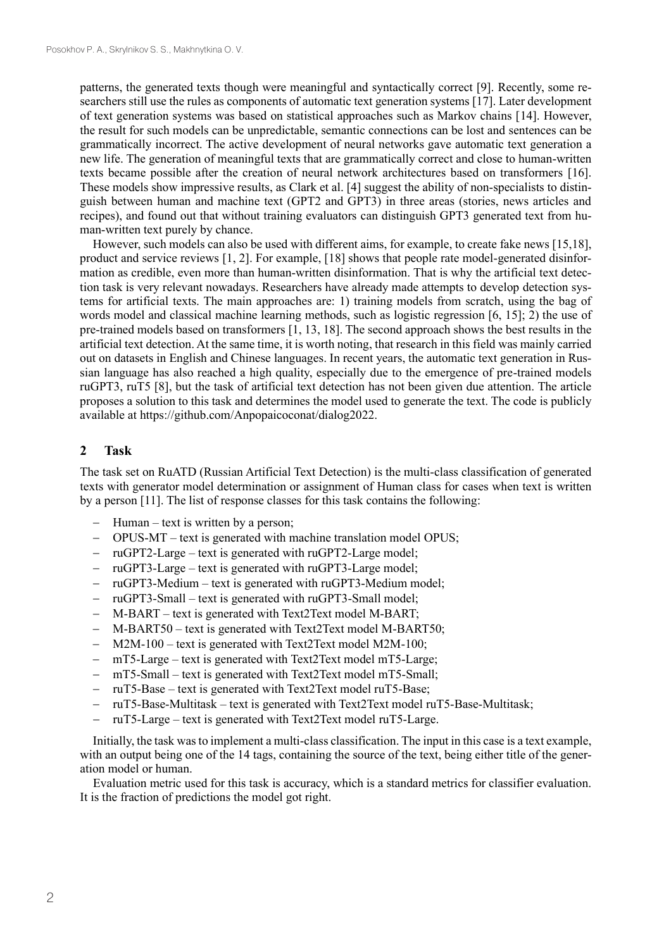patterns, the generated texts though were meaningful and syntactically correct [9]. Recently, some researchers still use the rules as components of automatic text generation systems [17]. Later development of text generation systems was based on statistical approaches such as Markov chains [14]. However, the result for such models can be unpredictable, semantic connections can be lost and sentences can be grammatically incorrect. The active development of neural networks gave automatic text generation a new life. The generation of meaningful texts that are grammatically correct and close to human-written texts became possible after the creation of neural network architectures based on transformers [16]. These models show impressive results, as Clark et al. [4] suggest the ability of non-specialists to distinguish between human and machine text (GPT2 and GPT3) in three areas (stories, news articles and recipes), and found out that without training evaluators can distinguish GPT3 generated text from human-written text purely by chance.

However, such models can also be used with different aims, for example, to create fake news [15,18], product and service reviews [1, 2]. For example, [18] shows that people rate model-generated disinformation as credible, even more than human-written disinformation. That is why the artificial text detection task is very relevant nowadays. Researchers have already made attempts to develop detection systems for artificial texts. The main approaches are: 1) training models from scratch, using the bag of words model and classical machine learning methods, such as logistic regression [6, 15]; 2) the use of pre-trained models based on transformers [1, 13, 18]. The second approach shows the best results in the artificial text detection. At the same time, it is worth noting, that research in this field was mainly carried out on datasets in English and Chinese languages. In recent years, the automatic text generation in Russian language has also reached a high quality, especially due to the emergence of pre-trained models ruGPT3, ruT5 [8], but the task of artificial text detection has not been given due attention. The article proposes a solution to this task and determines the model used to generate the text. The code is publicly available at https://github.com/Anpopaicoconat/dialog2022.

### **2 Task**

The task set on RuATD (Russian Artificial Text Detection) is the multi-class classification of generated texts with generator model determination or assignment of Human class for cases when text is written by a person [11]. The list of response classes for this task contains the following:

- Human text is written by a person;
- OPUS-MT text is generated with machine translation model OPUS;
- − ruGPT2-Large text is generated with ruGPT2-Large model;
- ruGPT3-Large text is generated with ruGPT3-Large model;
- ruGPT3-Medium text is generated with ruGPT3-Medium model;
- ruGPT3-Small text is generated with ruGPT3-Small model;
- − M-BART text is generated with Text2Text model M-BART;
- − M-BART50 text is generated with Text2Text model M-BART50;
- M2M-100 text is generated with Text2Text model M2M-100;
- mT5-Large text is generated with Text2Text model mT5-Large;
- mT5-Small text is generated with Text2Text model mT5-Small;
- ruT5-Base text is generated with Text2Text model ruT5-Base;
- − ruT5-Base-Multitask text is generated with Text2Text model ruT5-Base-Multitask;
- ruT5-Large text is generated with Text2Text model ruT5-Large.

Initially, the task was to implement a multi-class classification. The input in this case is a text example, with an output being one of the 14 tags, containing the source of the text, being either title of the generation model or human.

Evaluation metric used for this task is accuracy, which is a standard metrics for classifier evaluation. It is the fraction of predictions the model got right.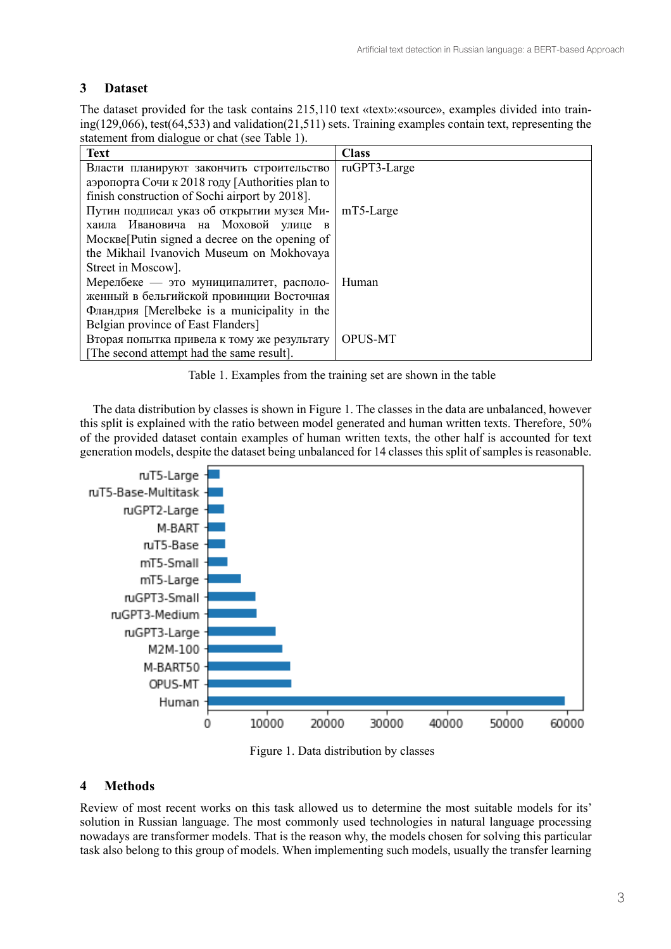# **3 Dataset**

The dataset provided for the task contains 215,110 text «text»:«source», examples divided into training(129,066), test(64,533) and validation(21,511) sets. Training examples contain text, representing the statement from dialogue or chat (see Table 1).

| <b>Text</b>                                     | <b>Class</b>   |  |  |  |  |  |  |
|-------------------------------------------------|----------------|--|--|--|--|--|--|
| Власти планируют закончить строительство        | ruGPT3-Large   |  |  |  |  |  |  |
| аэропорта Сочи к 2018 году [Authorities plan to |                |  |  |  |  |  |  |
| finish construction of Sochi airport by 2018].  |                |  |  |  |  |  |  |
| Путин подписал указ об открытии музея Ми-       | $mT5$ -Large   |  |  |  |  |  |  |
| хаила Ивановича на Моховой улице в              |                |  |  |  |  |  |  |
| Mocкве[Putin signed a decree on the opening of  |                |  |  |  |  |  |  |
| the Mikhail Ivanovich Museum on Mokhovaya       |                |  |  |  |  |  |  |
| Street in Moscow].                              |                |  |  |  |  |  |  |
| Мерелбеке - это муниципалитет, располо-         | Human          |  |  |  |  |  |  |
| женный в бельгийской провинции Восточная        |                |  |  |  |  |  |  |
| Фландрия [Merelbeke is a municipality in the    |                |  |  |  |  |  |  |
| Belgian province of East Flanders]              |                |  |  |  |  |  |  |
| Вторая попытка привела к тому же результату     | <b>OPUS-MT</b> |  |  |  |  |  |  |
| [The second attempt had the same result].       |                |  |  |  |  |  |  |

Table 1. Examples from the training set are shown in the table

The data distribution by classes is shown in Figure 1. The classes in the data are unbalanced, however this split is explained with the ratio between model generated and human written texts. Therefore, 50% of the provided dataset contain examples of human written texts, the other half is accounted for text generation models, despite the dataset being unbalanced for 14 classes this split of samples is reasonable.



Figure 1. Data distribution by classes

# **4 Methods**

Review of most recent works on this task allowed us to determine the most suitable models for its' solution in Russian language. The most commonly used technologies in natural language processing nowadays are transformer models. That is the reason why, the models chosen for solving this particular task also belong to this group of models. When implementing such models, usually the transfer learning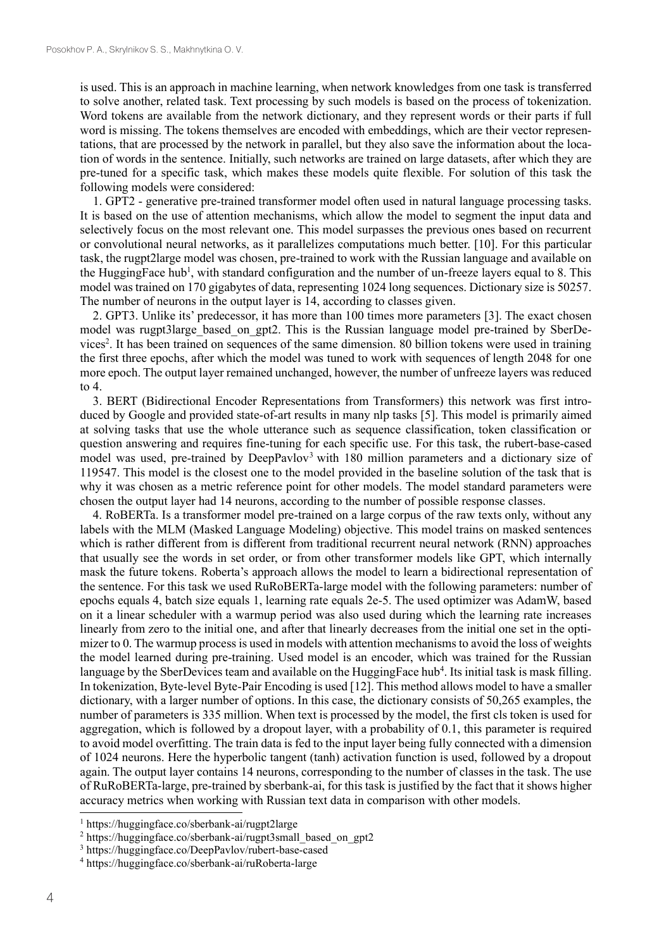is used. This is an approach in machine learning, when network knowledges from one task is transferred to solve another, related task. Text processing by such models is based on the process of tokenization. Word tokens are available from the network dictionary, and they represent words or their parts if full word is missing. The tokens themselves are encoded with embeddings, which are their vector representations, that are processed by the network in parallel, but they also save the information about the location of words in the sentence. Initially, such networks are trained on large datasets, after which they are pre-tuned for a specific task, which makes these models quite flexible. For solution of this task the following models were considered:

1. GPT2 - generative pre-trained transformer model often used in natural language processing tasks. It is based on the use of attention mechanisms, which allow the model to segment the input data and selectively focus on the most relevant one. This model surpasses the previous ones based on recurrent or convolutional neural networks, as it parallelizes computations much better. [10]. For this particular task, the rugpt2large model was chosen, pre-trained to work with the Russian language and available on the HuggingFace hub<sup>1</sup>, with standard configuration and the number of un-freeze layers equal to 8. This model was trained on 170 gigabytes of data, representing 1024 long sequences. Dictionary size is 50257. The number of neurons in the output layer is 14, according to classes given.

2. GPT3. Unlike its' predecessor, it has more than 100 times more parameters [3]. The exact chosen model was rugpt3large based on gpt2. This is the Russian language model pre-trained by SberDevices<sup>2</sup>. It has been trained on sequences of the same dimension. 80 billion tokens were used in training the first three epochs, after which the model was tuned to work with sequences of length 2048 for one more epoch. The output layer remained unchanged, however, the number of unfreeze layers was reduced to 4.

3. BERT (Bidirectional Encoder Representations from Transformers) this network was first introduced by Google and provided state-of-art results in many nlp tasks [5]. This model is primarily aimed at solving tasks that use the whole utterance such as sequence classification, token classification or question answering and requires fine-tuning for each specific use. For this task, the rubert-base-cased model was used, pre-trained by DeepPavlov<sup>3</sup> with 180 million parameters and a dictionary size of 119547. This model is the closest one to the model provided in the baseline solution of the task that is why it was chosen as a metric reference point for other models. The model standard parameters were chosen the output layer had 14 neurons, according to the number of possible response classes.

4. RoBERTa. Is a transformer model pre-trained on a large corpus of the raw texts only, without any labels with the MLM (Masked Language Modeling) objective. This model trains on masked sentences which is rather different from is different from traditional recurrent neural network (RNN) approaches that usually see the words in set order, or from other transformer models like GPT, which internally mask the future tokens. Roberta's approach allows the model to learn a bidirectional representation of the sentence. For this task we used RuRoBERTa-large model with the following parameters: number of epochs equals 4, batch size equals 1, learning rate equals 2e-5. The used optimizer was AdamW, based on it a linear scheduler with a warmup period was also used during which the learning rate increases linearly from zero to the initial one, and after that linearly decreases from the initial one set in the optimizer to 0. The warmup process is used in models with attention mechanisms to avoid the loss of weights the model learned during pre-training. Used model is an encoder, which was trained for the Russian language by the SberDevices team and available on the HuggingFace hub<sup>4</sup>. Its initial task is mask filling. In tokenization, Byte-level Byte-Pair Encoding is used [12]. This method allows model to have a smaller dictionary, with a larger number of options. In this case, the dictionary consists of 50,265 examples, the number of parameters is 335 million. When text is processed by the model, the first cls token is used for aggregation, which is followed by a dropout layer, with a probability of 0.1, this parameter is required to avoid model overfitting. The train data is fed to the input layer being fully connected with a dimension of 1024 neurons. Here the hyperbolic tangent (tanh) activation function is used, followed by a dropout again. The output layer contains 14 neurons, corresponding to the number of classes in the task. The use of RuRoBERTa-large, pre-trained by sberbank-ai, for this task is justified by the fact that it shows higher accuracy metrics when working with Russian text data in comparison with other models.

<sup>1</sup> https://huggingface.co/sberbank-ai/rugpt2large

<sup>&</sup>lt;sup>2</sup> https://huggingface.co/sberbank-ai/rugpt3small\_based\_on\_gpt2

<sup>3</sup> https://huggingface.co/DeepPavlov/rubert-base-cased

<sup>4</sup> https://huggingface.co/sberbank-ai/ruRoberta-large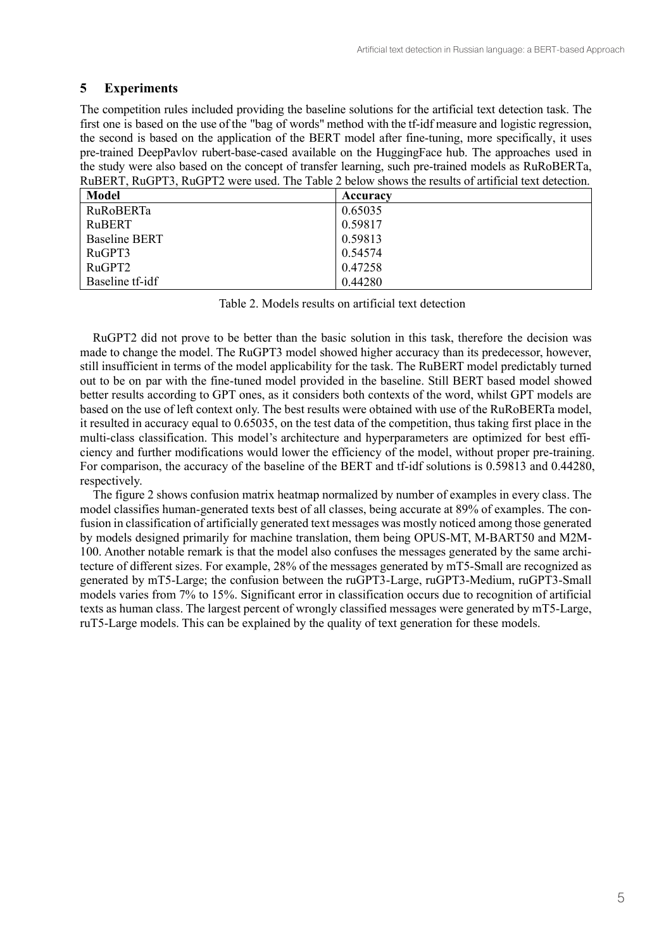## **5 Experiments**

The competition rules included providing the baseline solutions for the artificial text detection task. The first one is based on the use of the "bag of words" method with the tf-idf measure and logistic regression, the second is based on the application of the BERT model after fine-tuning, more specifically, it uses pre-trained DeepPavlov rubert-base-cased available on the HuggingFace hub. The approaches used in the study were also based on the concept of transfer learning, such pre-trained models as RuRoBERTa, RuBERT, RuGPT3, RuGPT2 were used. The Table 2 below shows the results of artificial text detection.

| <b>Model</b>         | Accuracy |
|----------------------|----------|
| <b>RuRoBERTa</b>     | 0.65035  |
| RuBERT               | 0.59817  |
| <b>Baseline BERT</b> | 0.59813  |
| RuGPT3               | 0.54574  |
| RuGPT <sub>2</sub>   | 0.47258  |
| Baseline tf-idf      | 0.44280  |

Table 2. Models results on artificial text detection

RuGPT2 did not prove to be better than the basic solution in this task, therefore the decision was made to change the model. The RuGPT3 model showed higher accuracy than its predecessor, however, still insufficient in terms of the model applicability for the task. The RuBERT model predictably turned out to be on par with the fine-tuned model provided in the baseline. Still BERT based model showed better results according to GPT ones, as it considers both contexts of the word, whilst GPT models are based on the use of left context only. The best results were obtained with use of the RuRoBERTa model, it resulted in accuracy equal to 0.65035, on the test data of the competition, thus taking first place in the multi-class classification. This model's architecture and hyperparameters are optimized for best efficiency and further modifications would lower the efficiency of the model, without proper pre-training. For comparison, the accuracy of the baseline of the BERT and tf-idf solutions is 0.59813 and 0.44280, respectively.

The figure 2 shows confusion matrix heatmap normalized by number of examples in every class. The model classifies human-generated texts best of all classes, being accurate at 89% of examples. The confusion in classification of artificially generated text messages was mostly noticed among those generated by models designed primarily for machine translation, them being OPUS-MT, M-BART50 and M2M-100. Another notable remark is that the model also confuses the messages generated by the same architecture of different sizes. For example, 28% of the messages generated by mT5-Small are recognized as generated by mT5-Large; the confusion between the ruGPT3-Large, ruGPT3-Medium, ruGPT3-Small models varies from 7% to 15%. Significant error in classification occurs due to recognition of artificial texts as human class. The largest percent of wrongly classified messages were generated by mT5-Large, ruT5-Large models. This can be explained by the quality of text generation for these models.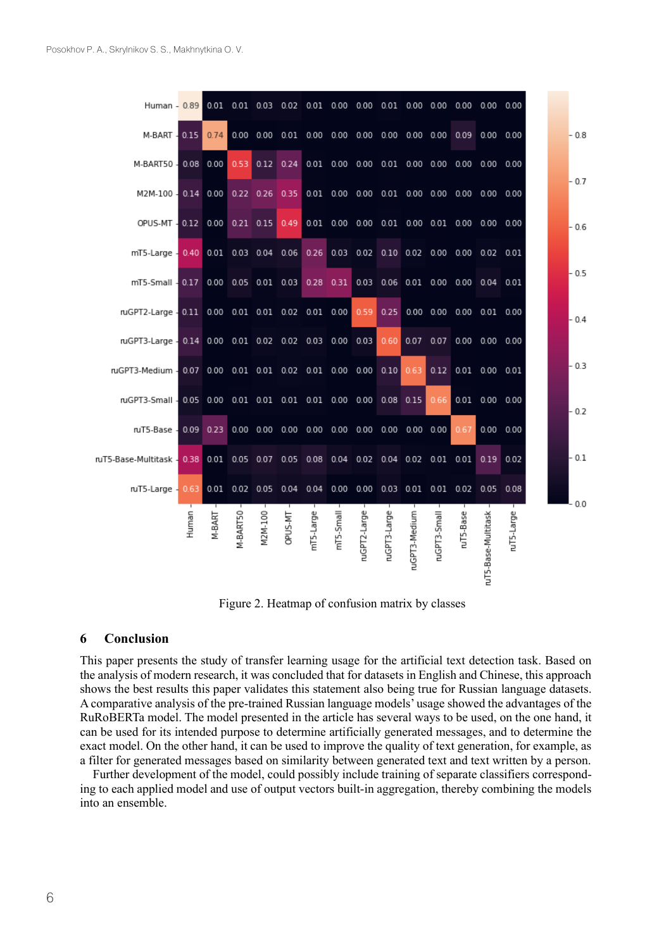| M-BART - 0.15 0.74                                                                          |       |        |                 |         |         |           |           |              |              |               |              |           |                                    |            | $-0.8$ |
|---------------------------------------------------------------------------------------------|-------|--------|-----------------|---------|---------|-----------|-----------|--------------|--------------|---------------|--------------|-----------|------------------------------------|------------|--------|
|                                                                                             |       |        |                 |         |         |           |           |              |              |               |              |           |                                    |            |        |
|                                                                                             |       |        |                 |         |         |           |           |              |              |               |              |           |                                    |            | $-0.7$ |
| OPUS-MT - 0.12 0.00 0.21 0.15 0.49 0.01 0.00 0.00 0.01 0.00 0.01 0.00 0.00 0.00             |       |        |                 |         |         |           |           |              |              |               |              |           |                                    |            | $-0.6$ |
| mT5-Large 0.40 0.01 0.03 0.04 0.06 0.26 0.03 0.02 0.10 0.02 0.00 0.00 0.02 0.01             |       |        |                 |         |         |           |           |              |              |               |              |           |                                    |            |        |
| mT5-Small 0.17 0.00 0.05 0.01 0.03 0.28 0.31 0.03 0.06 0.01 0.00 0.00 0.04 0.01             |       |        |                 |         |         |           |           |              |              |               |              |           |                                    |            | $-0.5$ |
| ruGPT2-Large 0.11 0.00 0.01 0.01 0.02 0.01 0.00 0.59                                        |       |        |                 |         |         |           |           |              | 0.25         |               |              |           | $0.00$ $0.00$ $0.00$ $0.01$ $0.00$ |            | $-0.4$ |
| ruGPT3-Large 0.14 0.00 0.01 0.02 0.02 0.03 0.00 0.03 0.60 0.07 0.07 0.00 0.00 0.00          |       |        |                 |         |         |           |           |              |              |               |              |           |                                    |            |        |
| ruGPT3-Medium - 0.07 0.00 0.01 0.01 0.02 0.01 0.00 0.00 0.10 0.63                           |       |        |                 |         |         |           |           |              |              |               |              |           | $0.12$ $0.01$ $0.00$ $0.01$        |            | $-0.3$ |
|                                                                                             |       |        |                 |         |         |           |           |              |              |               |              |           |                                    |            | $-0.2$ |
|                                                                                             |       |        |                 |         |         |           |           |              |              |               |              |           | 0.00 0.00                          |            |        |
| ruT5-Base-Multitask - 0.38 0.01 0.05 0.07 0.05 0.08 0.04 0.02 0.04 0.02 0.01 0.01 0.19 0.02 |       |        |                 |         |         |           |           |              |              |               |              |           |                                    |            | $-0.1$ |
| mT5-Large - 0.63 0.01 0.02 0.05 0.04 0.04 0.00 0.00 0.03 0.01 0.01 0.02 0.05 0.08           |       |        |                 |         |         |           |           |              |              |               |              |           |                                    |            |        |
|                                                                                             | Human | M-BART | <b>M-BART50</b> | M2M-100 | OPUS-MT | nT5-Large | mT5-Small | ruGPT2-Large | ruGPT3-Large | ruGPT3-Medium | ruGPT3-Small | ruT5-Base | uT5-Base-Multitask                 | ruT5-Large | $-0.0$ |

Figure 2. Heatmap of confusion matrix by classes

### **6 Conclusion**

This paper presents the study of transfer learning usage for the artificial text detection task. Based on the analysis of modern research, it was concluded that for datasets in English and Chinese, this approach shows the best results this paper validates this statement also being true for Russian language datasets. A comparative analysis of the pre-trained Russian language models' usage showed the advantages of the RuRoBERTa model. The model presented in the article has several ways to be used, on the one hand, it can be used for its intended purpose to determine artificially generated messages, and to determine the exact model. On the other hand, it can be used to improve the quality of text generation, for example, as a filter for generated messages based on similarity between generated text and text written by a person.

Further development of the model, could possibly include training of separate classifiers corresponding to each applied model and use of output vectors built-in aggregation, thereby combining the models into an ensemble.